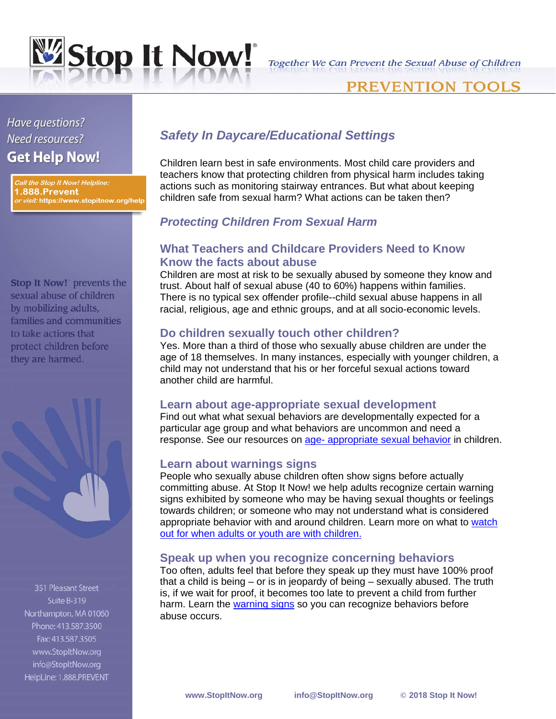

# PREVENTION TOOLS

# Have questions? Need resources? **Get Help Now!**

Call the Stop It Now! Helpline: 1.888.Prevent *or visit:* https://www.stopitnow.org/help

**Stop It Now!** prevents the sexual abuse of children by mobilizing adults, families and communities to take actions that protect children before they are harmed.



351 Pleasant Street Suite B-319 Northampton, MA 01060 Phone: 413.587.3500 Fax: 413.587.3505 www.StopItNow.org info@StopItNow.org HelpLine: 1.888.PREVENT

# *Safety In Daycare/Educational Settings*

Children learn best in safe environments. Most child care providers and teachers know that protecting children from physical harm includes taking actions such as monitoring stairway entrances. But what about keeping children safe from sexual harm? What actions can be taken then?

### *Protecting Children From Sexual Harm*

### **What Teachers and Childcare Providers Need to Know Know the facts about abuse**

Children are most at risk to be sexually abused by someone they know and trust. About half of sexual abuse (40 to 60%) happens within families. There is no typical sex o[ff](http://www.stopitnow.org/glossary/term/258)ender profile--child sexual abuse happens in all racial, religious, age and ethnic groups, and at all socio-economic levels.

#### **Do children sexually touch other children?**

Yes. More than a third of those who sexually abuse children are under the age of 18 themselves. In many instances, especially with younger children, a child may not understand that his or her forceful sexual actions toward another child are harmful.

#### **Learn about age-appropriate sexual development**

Find out what what sexual behaviors are developmentally expected for a particular age group and what behaviors are uncommon and need a response. See our resources on [age- appropriate sexual behavior](http://www.stopitnow.org/age_appropriate_sexual_behavior) in children.

#### **Learn about warnings signs**

People who sexually abuse children often show signs before actually committing abuse. At Stop It Now! we help adults recognize certain warning signs exhibited by someone who may be having sexual thoughts or feelings towards children; or someone who may not understand what is considered appropriate behavior with and around children. Learn more on what to [watch](http://www.stopitnow.org/behaviors_watch_adult_with_children)  [out for when adults or youth are with children.](http://www.stopitnow.org/behaviors_watch_adult_with_children)

#### **Speak up when you recognize concerning behaviors**

Too often, adults feel that before they speak up they must have 100% proof that a child is being – or is in jeopardy of being – sexually abused. The truth is, if we wait for proof, it becomes too late to prevent a child from further harm. Learn the [warning signs](http://www.stopitnow.org/warnings) so you can recognize behaviors before abuse occurs.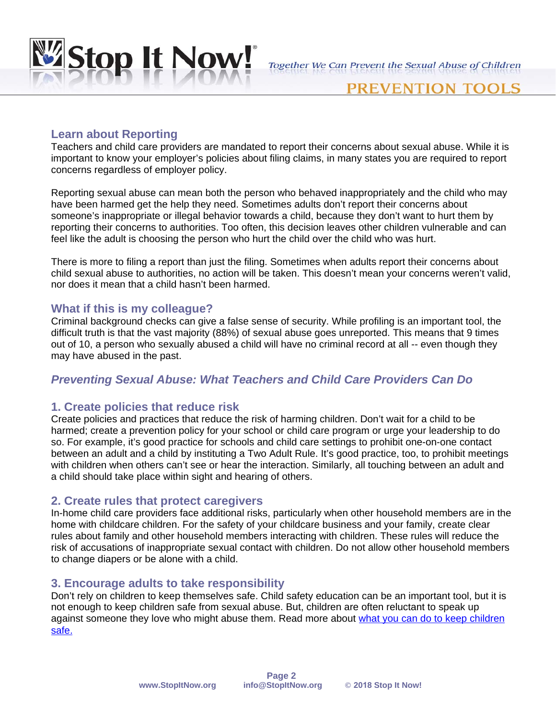

### PREVENTION

#### **Learn about Reporting**

Teachers and child care providers are mandated to report their concerns about sexual abuse. While it is important to know your employer's policies about filing claims, in many states you are required to report concerns regardless of employer policy.

Reporting sexual abuse can mean both the person who behaved inappropriately and the child who may have been harmed get the help they need. Sometimes adults don't report their concerns about someone's inappropriate or illegal behavior towards a child, because they don't want to hurt them by reporting their concerns to authorities. Too often, this decision leaves other children vulnerable and can feel like the adult is choosing the person who hurt the child over the child who was hurt.

There is more to filing a report than just the filing. Sometimes when adults report their concerns about child sexual abuse to authorities, no action will be taken. This doesn't mean your concerns weren't valid, nor does it mean that a child hasn't been harmed.

#### **What if this is my colleague?**

Criminal background checks can give a false sense of security. While profiling is an important tool, the difficult truth is that the vast majority (88%) of sexual abuse goes unreported. This means that 9 times out of 10, a person who sexually abused a child will have no criminal record at all -- even though they may have abused in the past.

#### *Preventing Sexual Abuse: What Teachers and Child Care Providers Can Do*

#### **1. Create policies that reduce risk**

Create policies and practices that reduce the risk of harming children. Don't wait for a child to be harmed; create a prevention policy for your school or child care program or urge your leadership to do so. For example, it's good practice for schools and child care settings to prohibit one-on-one contact between an adult and a child by instituting a Two Adult Rule. It's good practice, too, to prohibit meetings with children when others can't see or hear the interaction. Similarly, all touching between an adult and a child should take place within sight and hearing of others.

#### **2. Create rules that protect caregivers**

In-home child care providers face additional risks, particularly when other household members are in the home with childcare children. For the safety of your childcare business and your family, create clear rules about family and other household members interacting with children. These rules will reduce the risk of accusations of inappropriate sexual contact with children. Do not allow other household members to change diapers or be alone with a child.

#### **3. Encourage adults to take responsibility**

Don't rely on children to keep themselves safe. Child safety education can be an important tool, but it is not enough to keep children safe from sexual abuse. But, children are often reluctant to speak up against someone they love who might abuse them. Read more about [what you can do to keep children](http://www.stopitnow.org/dont_wait_everyday_prevention)  [safe.](http://www.stopitnow.org/dont_wait_everyday_prevention)